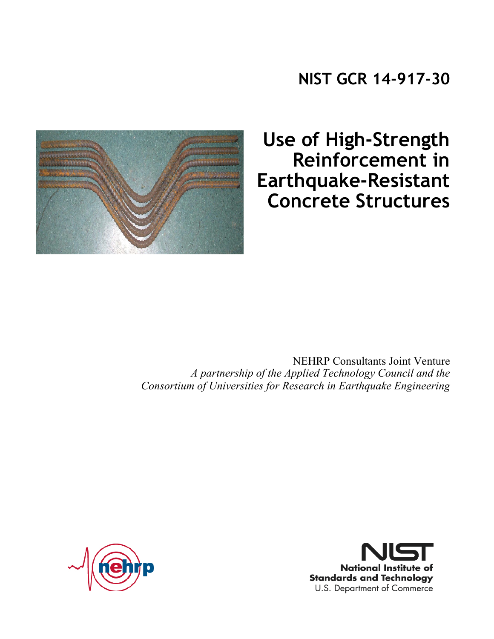



**Use of High-Strength Reinforcement in Earthquake-Resistant Concrete Structures** 

NEHRP Consultants Joint Venture *A partnership of the Applied Technology Council and the Consortium of Universities for Research in Earthquake Engineering*



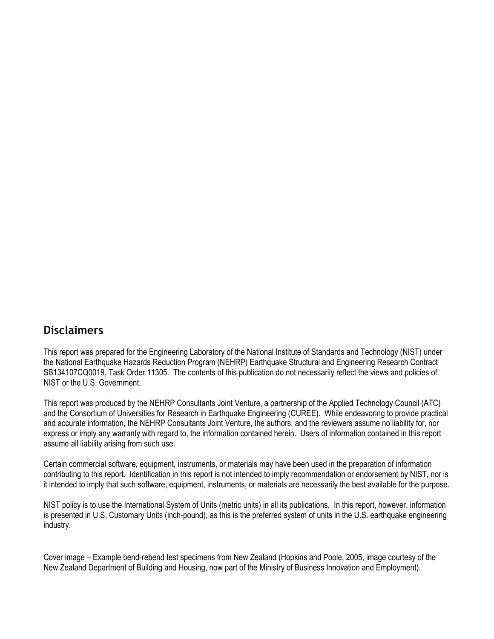#### **Disclaimers**

This report was prepared for the Engineering Laboratory of the National Institute of Standards and Technology (NIST) under the National Earthquake Hazards Reduction Program (NEHRP) Earthquake Structural and Engineering Research Contract SB134107CQ0019, Task Order 11305. The contents of this publication do not necessarily reflect the views and policies of NIST or the U.S. Government.

This report was produced by the NEHRP Consultants Joint Venture, a partnership of the Applied Technology Council (ATC) and the Consortium of Universities for Research in Earthquake Engineering (CUREE). While endeavoring to provide practical and accurate information, the NEHRP Consultants Joint Venture, the authors, and the reviewers assume no liability for, nor express or imply any warranty with regard to, the information contained herein. Users of information contained in this report assume all liability arising from such use.

Certain commercial software, equipment, instruments, or materials may have been used in the preparation of information contributing to this report. Identification in this report is not intended to imply recommendation or endorsement by NIST, nor is it intended to imply that such software, equipment, instruments, or materials are necessarily the best available for the purpose.

NIST policy is to use the International System of Units (metric units) in all its publications. In this report, however, information is presented in U.S. Customary Units (inch-pound), as this is the preferred system of units in the U.S. earthquake engineering industry.

Cover image – Example bend-rebend test specimens from New Zealand (Hopkins and Poole, 2005, image courtesy of the New Zealand Department of Building and Housing, now part of the Ministry of Business Innovation and Employment).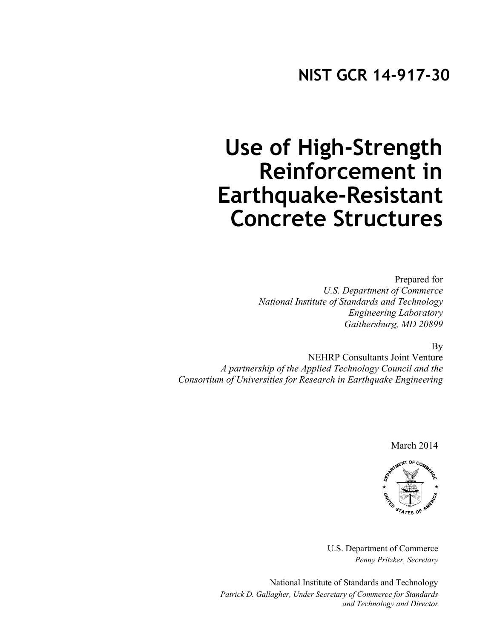### **Use of High-Strength Reinforcement in Earthquake-Resistant Concrete Structures**

Prepared for *U.S. Department of Commerce National Institute of Standards and Technology Engineering Laboratory Gaithersburg, MD 20899*

By

NEHRP Consultants Joint Venture *A partnership of the Applied Technology Council and the Consortium of Universities for Research in Earthquake Engineering*

March 2014



U.S. Department of Commerce *Penny Pritzker, Secretary* 

National Institute of Standards and Technology  *Patrick D. Gallagher, Under Secretary of Commerce for Standards and Technology and Director*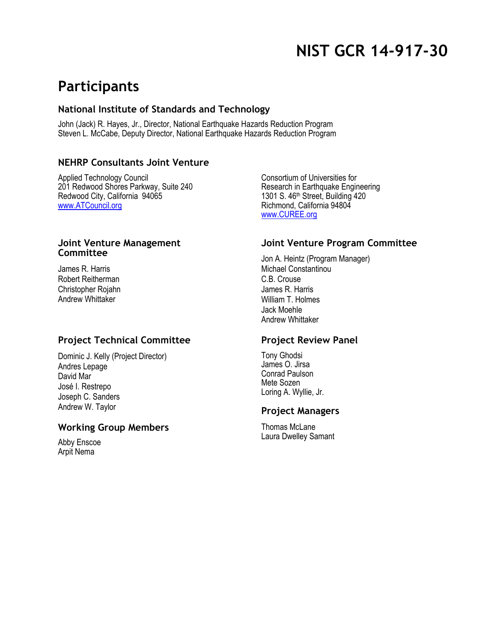### **NIST GCR 14-917-30**

### **Participants**

#### **National Institute of Standards and Technology**

John (Jack) R. Hayes, Jr., Director, National Earthquake Hazards Reduction Program Steven L. McCabe, Deputy Director, National Earthquake Hazards Reduction Program

#### **NEHRP Consultants Joint Venture**

Applied Technology Council 201 Redwood Shores Parkway, Suite 240 Redwood City, California 94065 www.ATCouncil.org

#### **Joint Venture Management Committee**

James R. Harris Robert Reitherman Christopher Rojahn Andrew Whittaker

#### **Project Technical Committee**

Dominic J. Kelly (Project Director) Andres Lepage David Mar José I. Restrepo Joseph C. Sanders Andrew W. Taylor

#### **Working Group Members**

Abby Enscoe Arpit Nema

Consortium of Universities for Research in Earthquake Engineering 1301 S. 46th Street, Building 420 Richmond, California 94804 www.CUREE.org

#### **Joint Venture Program Committee**

Jon A. Heintz (Program Manager) Michael Constantinou C.B. Crouse James R. Harris William T. Holmes Jack Moehle Andrew Whittaker

#### **Project Review Panel**

Tony Ghodsi James O. Jirsa Conrad Paulson Mete Sozen Loring A. Wyllie, Jr.

#### **Project Managers**

Thomas McLane Laura Dwelley Samant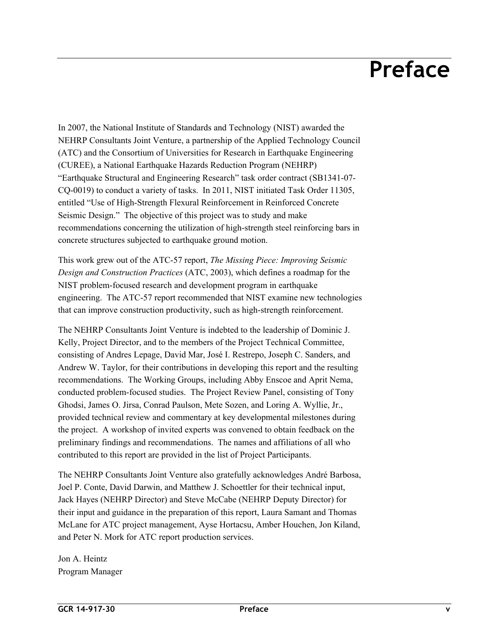## **Preface**

In 2007, the National Institute of Standards and Technology (NIST) awarded the NEHRP Consultants Joint Venture, a partnership of the Applied Technology Council (ATC) and the Consortium of Universities for Research in Earthquake Engineering (CUREE), a National Earthquake Hazards Reduction Program (NEHRP) "Earthquake Structural and Engineering Research" task order contract (SB1341-07- CQ-0019) to conduct a variety of tasks. In 2011, NIST initiated Task Order 11305, entitled "Use of High-Strength Flexural Reinforcement in Reinforced Concrete Seismic Design." The objective of this project was to study and make recommendations concerning the utilization of high-strength steel reinforcing bars in concrete structures subjected to earthquake ground motion.

This work grew out of the ATC-57 report, *The Missing Piece: Improving Seismic Design and Construction Practices* (ATC, 2003), which defines a roadmap for the NIST problem-focused research and development program in earthquake engineering. The ATC-57 report recommended that NIST examine new technologies that can improve construction productivity, such as high-strength reinforcement.

The NEHRP Consultants Joint Venture is indebted to the leadership of Dominic J. Kelly, Project Director, and to the members of the Project Technical Committee, consisting of Andres Lepage, David Mar, José I. Restrepo, Joseph C. Sanders, and Andrew W. Taylor, for their contributions in developing this report and the resulting recommendations. The Working Groups, including Abby Enscoe and Aprit Nema, conducted problem-focused studies. The Project Review Panel, consisting of Tony Ghodsi, James O. Jirsa, Conrad Paulson, Mete Sozen, and Loring A. Wyllie, Jr., provided technical review and commentary at key developmental milestones during the project. A workshop of invited experts was convened to obtain feedback on the preliminary findings and recommendations. The names and affiliations of all who contributed to this report are provided in the list of Project Participants.

The NEHRP Consultants Joint Venture also gratefully acknowledges André Barbosa, Joel P. Conte, David Darwin, and Matthew J. Schoettler for their technical input, Jack Hayes (NEHRP Director) and Steve McCabe (NEHRP Deputy Director) for their input and guidance in the preparation of this report, Laura Samant and Thomas McLane for ATC project management, Ayse Hortacsu, Amber Houchen, Jon Kiland, and Peter N. Mork for ATC report production services.

Jon A. Heintz Program Manager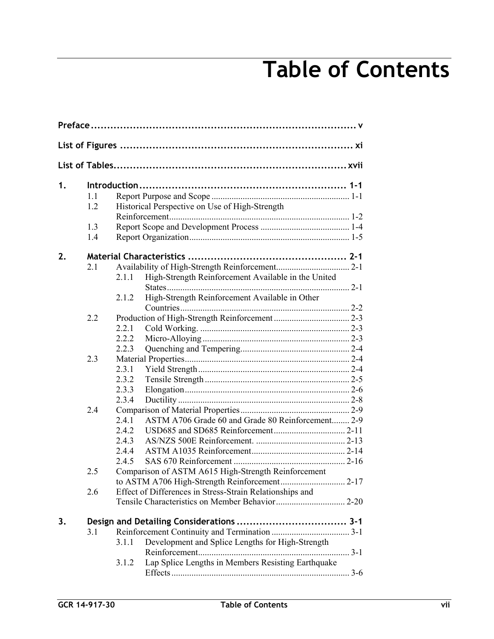# **Table of Contents**

| 1. |     |       |                                                          |  |  |  |
|----|-----|-------|----------------------------------------------------------|--|--|--|
|    | 1.1 |       |                                                          |  |  |  |
|    | 1.2 |       | Historical Perspective on Use of High-Strength           |  |  |  |
|    |     |       |                                                          |  |  |  |
|    | 1.3 |       |                                                          |  |  |  |
|    | 1.4 |       |                                                          |  |  |  |
| 2. |     |       |                                                          |  |  |  |
|    | 2.1 |       |                                                          |  |  |  |
|    |     | 2.1.1 | High-Strength Reinforcement Available in the United      |  |  |  |
|    |     |       |                                                          |  |  |  |
|    |     | 2.1.2 | High-Strength Reinforcement Available in Other           |  |  |  |
|    |     |       |                                                          |  |  |  |
|    | 2.2 |       |                                                          |  |  |  |
|    |     | 2.2.1 |                                                          |  |  |  |
|    |     | 2.2.2 |                                                          |  |  |  |
|    |     | 2.2.3 |                                                          |  |  |  |
|    | 2.3 |       |                                                          |  |  |  |
|    |     | 2.3.1 |                                                          |  |  |  |
|    |     | 2.3.2 |                                                          |  |  |  |
|    |     | 2.3.3 |                                                          |  |  |  |
|    |     | 2.3.4 |                                                          |  |  |  |
|    | 2.4 | 2.4.1 | ASTM A706 Grade 60 and Grade 80 Reinforcement 2-9        |  |  |  |
|    |     | 2.4.2 |                                                          |  |  |  |
|    |     | 2.4.3 |                                                          |  |  |  |
|    |     | 2.4.4 |                                                          |  |  |  |
|    |     | 2.4.5 |                                                          |  |  |  |
|    | 2.5 |       | Comparison of ASTM A615 High-Strength Reinforcement      |  |  |  |
|    |     |       |                                                          |  |  |  |
|    | 2.6 |       | Effect of Differences in Stress-Strain Relationships and |  |  |  |
|    |     |       |                                                          |  |  |  |
| 3. |     |       |                                                          |  |  |  |
|    | 3.1 |       |                                                          |  |  |  |
|    |     | 3.1.1 | Development and Splice Lengths for High-Strength         |  |  |  |
|    |     |       |                                                          |  |  |  |
|    |     | 3.1.2 | Lap Splice Lengths in Members Resisting Earthquake       |  |  |  |
|    |     |       |                                                          |  |  |  |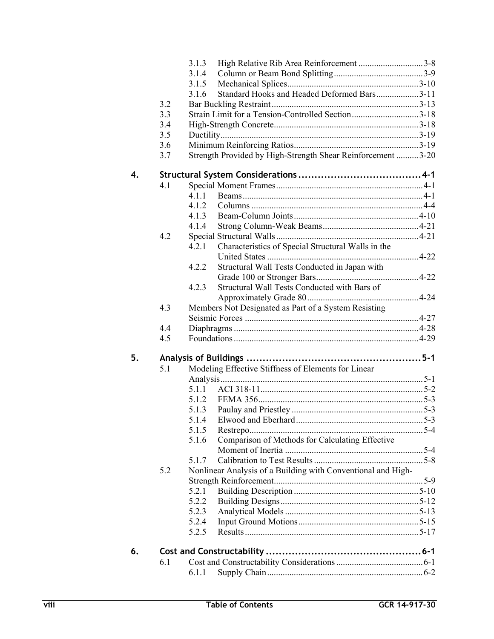|    |     | 3.1.3<br>High Relative Rib Area Reinforcement 3-8            |  |  |  |  |
|----|-----|--------------------------------------------------------------|--|--|--|--|
|    |     | 3.1.4                                                        |  |  |  |  |
|    |     | 3.1.5                                                        |  |  |  |  |
|    |     | Standard Hooks and Headed Deformed Bars3-11<br>3.1.6         |  |  |  |  |
|    | 3.2 |                                                              |  |  |  |  |
|    | 3.3 | Strain Limit for a Tension-Controlled Section3-18            |  |  |  |  |
|    | 3.4 |                                                              |  |  |  |  |
|    | 3.5 |                                                              |  |  |  |  |
|    | 3.6 |                                                              |  |  |  |  |
|    | 3.7 | Strength Provided by High-Strength Shear Reinforcement 3-20  |  |  |  |  |
| 4. |     |                                                              |  |  |  |  |
|    | 4.1 |                                                              |  |  |  |  |
|    |     | 4.1.1                                                        |  |  |  |  |
|    |     | 4.1.2                                                        |  |  |  |  |
|    |     | 4.1.3                                                        |  |  |  |  |
|    |     | 4.1.4                                                        |  |  |  |  |
|    | 4.2 |                                                              |  |  |  |  |
|    |     | 4.2.1<br>Characteristics of Special Structural Walls in the  |  |  |  |  |
|    |     | Structural Wall Tests Conducted in Japan with<br>4.2.2       |  |  |  |  |
|    |     |                                                              |  |  |  |  |
|    |     | Structural Wall Tests Conducted with Bars of<br>4.2.3        |  |  |  |  |
|    |     |                                                              |  |  |  |  |
|    | 4.3 | Members Not Designated as Part of a System Resisting         |  |  |  |  |
|    |     |                                                              |  |  |  |  |
|    | 4.4 |                                                              |  |  |  |  |
|    | 4.5 |                                                              |  |  |  |  |
|    |     |                                                              |  |  |  |  |
| 5. |     |                                                              |  |  |  |  |
|    | 5.1 | Modeling Effective Stiffness of Elements for Linear          |  |  |  |  |
|    |     |                                                              |  |  |  |  |
|    |     | 5.1.1                                                        |  |  |  |  |
|    |     | 5.1.2                                                        |  |  |  |  |
|    |     | 5.1.3                                                        |  |  |  |  |
|    |     | 5.1.4 Elwood and Eberhard 5.3                                |  |  |  |  |
|    |     | 5.1.5                                                        |  |  |  |  |
|    |     | Comparison of Methods for Calculating Effective<br>5.1.6     |  |  |  |  |
|    |     |                                                              |  |  |  |  |
|    |     | 5.1.7                                                        |  |  |  |  |
|    | 5.2 | Nonlinear Analysis of a Building with Conventional and High- |  |  |  |  |
|    |     |                                                              |  |  |  |  |
|    |     | 5.2.1                                                        |  |  |  |  |
|    |     | 5.2.2                                                        |  |  |  |  |
|    |     | 5.2.3                                                        |  |  |  |  |
|    |     | 5.2.4                                                        |  |  |  |  |
|    |     | 5.2.5                                                        |  |  |  |  |
| 6. |     |                                                              |  |  |  |  |
|    | 6.1 |                                                              |  |  |  |  |
|    |     | 6.1.1                                                        |  |  |  |  |
|    |     |                                                              |  |  |  |  |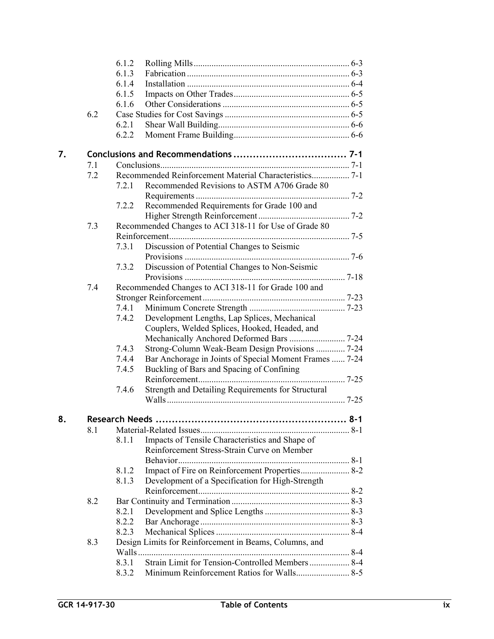|    |     | 6.1.2                                                  |                                                        |  |
|----|-----|--------------------------------------------------------|--------------------------------------------------------|--|
|    |     | 6.1.3                                                  |                                                        |  |
|    |     | 6.1.4                                                  |                                                        |  |
|    |     | 6.1.5                                                  |                                                        |  |
|    |     | 6.1.6                                                  |                                                        |  |
|    | 6.2 |                                                        |                                                        |  |
|    |     | 6.2.1                                                  |                                                        |  |
|    |     | 6.2.2                                                  |                                                        |  |
| 7. |     |                                                        |                                                        |  |
|    | 7.1 |                                                        |                                                        |  |
|    | 7.2 |                                                        |                                                        |  |
|    |     | 7.2.1                                                  | Recommended Revisions to ASTM A706 Grade 80            |  |
|    |     |                                                        |                                                        |  |
|    |     | 7.2.2                                                  | Recommended Requirements for Grade 100 and             |  |
|    |     |                                                        |                                                        |  |
|    | 7.3 | Recommended Changes to ACI 318-11 for Use of Grade 80  |                                                        |  |
|    |     |                                                        |                                                        |  |
|    |     | 7.3.1                                                  | Discussion of Potential Changes to Seismic             |  |
|    |     |                                                        |                                                        |  |
|    |     | 7.3.2                                                  | Discussion of Potential Changes to Non-Seismic         |  |
|    |     |                                                        |                                                        |  |
|    | 7.4 |                                                        | Recommended Changes to ACI 318-11 for Grade 100 and    |  |
|    |     |                                                        |                                                        |  |
|    |     | 7.4.1                                                  |                                                        |  |
|    |     | 7.4.2                                                  | Development Lengths, Lap Splices, Mechanical           |  |
|    |     |                                                        | Couplers, Welded Splices, Hooked, Headed, and          |  |
|    |     |                                                        |                                                        |  |
|    |     | 7.4.3                                                  | Strong-Column Weak-Beam Design Provisions  7-24        |  |
|    |     | 7.4.4                                                  | Bar Anchorage in Joints of Special Moment Frames  7-24 |  |
|    |     | 7.4.5                                                  | Buckling of Bars and Spacing of Confining              |  |
|    |     | 7.4.6                                                  | Strength and Detailing Requirements for Structural     |  |
|    |     |                                                        |                                                        |  |
| 8. |     | Research Needs                                         |                                                        |  |
|    | 8.1 |                                                        |                                                        |  |
|    |     | 8.1.1                                                  | Impacts of Tensile Characteristics and Shape of        |  |
|    |     |                                                        | Reinforcement Stress-Strain Curve on Member            |  |
|    |     |                                                        |                                                        |  |
|    |     | 8.1.2                                                  | Impact of Fire on Reinforcement Properties 8-2         |  |
|    |     | 8.1.3                                                  | Development of a Specification for High-Strength       |  |
|    |     |                                                        |                                                        |  |
|    | 8.2 |                                                        |                                                        |  |
|    |     | 8.2.1                                                  |                                                        |  |
|    |     | 8.2.2                                                  |                                                        |  |
|    |     | 8.2.3                                                  |                                                        |  |
|    | 8.3 | Design Limits for Reinforcement in Beams, Columns, and |                                                        |  |
|    |     |                                                        |                                                        |  |
|    |     | 8.3.1                                                  | Strain Limit for Tension-Controlled Members  8-4       |  |
|    |     | 8.3.2                                                  |                                                        |  |